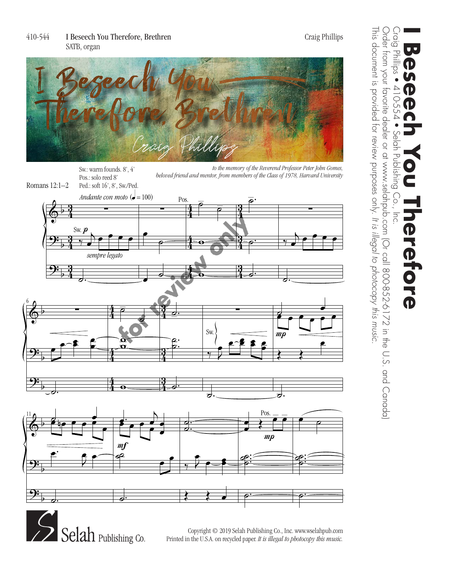

Ped.: soft 16', 8'. Sw./Ped.

Romans  $12:1-2$  Ped.: soft 16', 8', Sw./Ped. Pos.: solo reed 8'

*to the memory of the Reverend Professor Peter John Gomes, beloved friend and mentor, from members of the Class of 1978, Harvard University* Sw.: warm founds. 8', 4'





Publishing Co. Printed in the U.S.A. on recycled paper. *It is illegal to photocopy this music*. Copyright © 2019 Selah Publishing Co., Inc. www.selahpub.com Copyright © 2019 Selah Publishing Co., Inc. www.wselahpub.com

Craig<br>- Gig This document is provided for review purposes only. It is illegal to photocopy this music. This document is provided for review purposes only. Order from your favorite dealer or at 172 in the U.S. and Co-852-6172 in the U.S. and Canada) Order from your favorite dealer or at www.selahpub.com (Or call 800-852-6172 in the U.S. and Canada) Craig Phillips • 410-554 • Selah Publishing Co., Inc. **I Beseech You Therefore** 9<br>R  $\frac{Q}{T}$ Bulusll  $\bigcirc$ *It is illegal to photocopy this music.* **Brefore**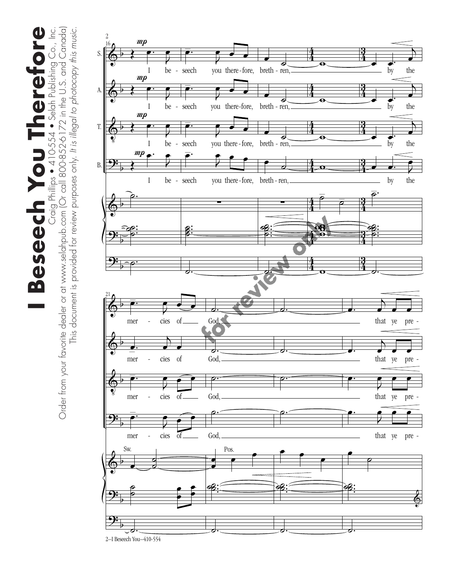**Beseech You Therefore** Craig Phillips ● 410-554 ● Selah Publishing Co., Inc.<br>Order from your favorite dealer or at www.selahpub.com (Or call 800-852-6172 in the U.S. and Canada) Order from your favorite dealer or at www.selahpub.com (Or call 800-852-6172 in the U.S. and Canada) **I Beseech You Therefore** Craig Phillips • 410-554 • Selah Publishing Co., Inc. This document is provided for review purposes only. It is illegal to photocopy this music. This document is provided for review purposes only. *It is illegal to photocopy this music.*

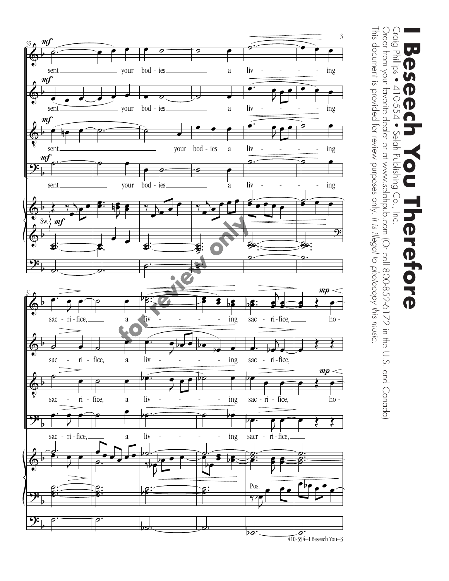

Craig Phillips ● 410-554 ● Selah Publishing Co., Inc.<br>Order from your favorite dealer or at www.selahpub.com (Or call 800-852-6172 in the U.S. and Canada) Craig Phillips • 410-554 • Selah Publishing Co., Inc. **I Beseech You Therefore**  $\bullet$ D U D  $\overline{\textbf{P}}$ **Prefore** 

This document is provided for review purposes only.

This document is provided for review purposes only. It is illegal to photocopy this music.

Order from your favorite dealer or at www.selahpub.com (Or call 800-852-6172 in the U.S. and Canada)

*It is illegal to photocopy this music.*